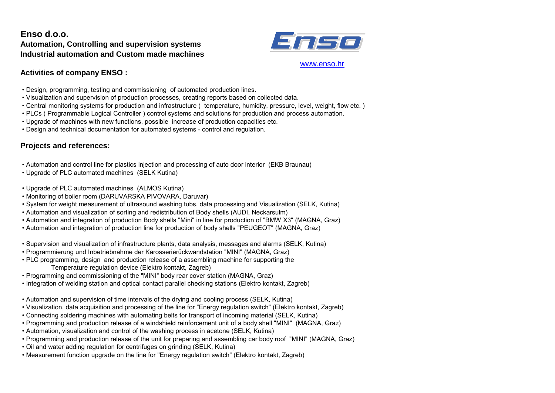## **Enso d.o.o. Automation, Controlling and supervision systems Industrial automation and Custom made machines**



#### [ww](http://www.enso.hr/)w.enso.hr

## **Activities of company ENSO :**

- Design, programming, testing and commissioning of automated production lines.
- Visualization and supervision of production processes, creating reports based on collected data.
- Central monitoring systems for production and infrastructure ( temperature, humidity, pressure, level, weight, flow etc. )
- PLCs ( Programmable Logical Controller ) control systems and solutions for production and process automation.
- Upgrade of machines with new functions, possible increase of production capacities etc.
- Design and technical documentation for automated systems control and regulation.

## **Projects and references:**

- Automation and control line for plastics injection and processing of auto door interior (EKB Braunau)
- Upgrade of PLC automated machines (SELK Kutina)
- Upgrade of PLC automated machines (ALMOS Kutina)
- Monitoring of boiler room (DARUVARSKA PIVOVARA, Daruvar)
- System for weight measurement of ultrasound washing tubs, data processing and Visualization (SELK, Kutina)
- Automation and visualization of sorting and redistribution of Body shells (AUDI, Neckarsulm)
- Automation and integration of production Body shells "Mini" in line for production of "BMW X3" (MAGNA, Graz)
- Automation and integration of production line for production of body shells "PEUGEOT" (MAGNA, Graz)
- Supervision and visualization of infrastructure plants, data analysis, messages and alarms (SELK, Kutina)
- Programmierung und Inbetriebnahme der Karosserierückwandstation "MINI" (MAGNA, Graz)
- PLC programming, design and production release of a assembling machine for supporting the Temperature regulation device (Elektro kontakt, Zagreb)
- Programming and commissioning of the "MINI" body rear cover station (MAGNA, Graz)
- Integration of welding station and optical contact parallel checking stations (Elektro kontakt, Zagreb)
- Automation and supervision of time intervals of the drying and cooling process (SELK, Kutina)
- Visualization, data acquisition and processing of the line for "Energy regulation switch" (Elektro kontakt, Zagreb)
- Connecting soldering machines with automating belts for transport of incoming material (SELK, Kutina)
- Programming and production release of a windshield reinforcement unit of a body shell "MINI" (MAGNA, Graz)
- Automation, visualization and control of the washing process in acetone (SELK, Kutina)
- Programming and production release of the unit for preparing and assembling car body roof "MINI" (MAGNA, Graz)
- Oil and water adding regulation for centrifuges on grinding (SELK, Kutina)
- Measurement function upgrade on the line for "Energy regulation switch" (Elektro kontakt, Zagreb)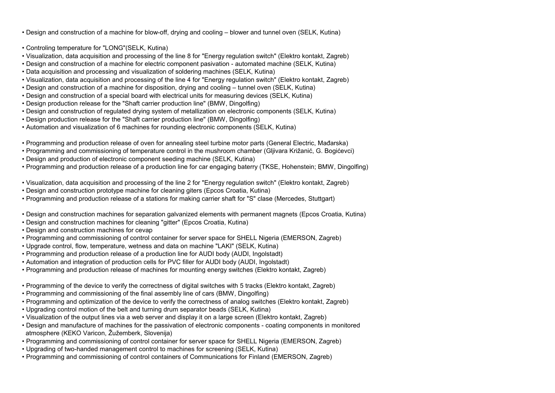• Design and construction of a machine for blow-off, drying and cooling – blower and tunnel oven (SELK, Kutina)

- Controling temperature for "LONG"(SELK, Kutina)
- Visualization, data acquisition and processing of the line 8 for "Energy regulation switch" (Elektro kontakt, Zagreb)
- Design and construction of a machine for electric component pasivation automated machine (SELK, Kutina)
- Data acquisition and processing and visualization of soldering machines (SELK, Kutina)
- Visualization, data acquisition and processing of the line 4 for "Energy regulation switch" (Elektro kontakt, Zagreb)
- Design and construction of a machine for disposition, drying and cooling tunnel oven (SELK, Kutina)
- Design and construction of a special board with electrical units for measuring devices (SELK, Kutina)
- Design production release for the "Shaft carrier production line" (BMW, Dingolfing)
- Design and construction of regulated drying system of metallization on electronic components (SELK, Kutina)
- Design production release for the "Shaft carrier production line" (BMW, Dingolfing)
- Automation and visualization of 6 machines for rounding electronic components (SELK, Kutina)
- Programming and production release of oven for annealing steel turbine motor parts (General Electric, Mađarska)
- Programming and commissioning of temperature control in the mushroom chamber (Gljivara Križanić, G. Bogićevci)
- Design and production of electronic component seeding machine (SELK, Kutina)
- Programming and production release of a production line for car engaging baterry (TKSE, Hohenstein; BMW, Dingolfing)
- Visualization, data acquisition and processing of the line 2 for "Energy regulation switch" (Elektro kontakt, Zagreb)
- Desian and construction prototype machine for cleaning giters (Epcos Croatia, Kutina)
- Programming and production release of a stations for making carrier shaft for "S" clase (Mercedes, Stuttgart)
- Design and construction machines for separation galvanized elements with permanent magnets (Epcos Croatia, Kutina)
- Design and construction machines for cleaning "gitter" (Epcos Croatia, Kutina)
- Design and construction machines for cevap
- Programming and commissioning of control container for server space for SHELL Nigeria (EMERSON, Zagreb)
- Upgrade control, flow, temperature, wetness and data on machine "LAKI" (SELK, Kutina)
- Programming and production release of a production line for AUDI body (AUDI, Ingolstadt)
- Automation and integration of production cells for PVC filler for AUDI body (AUDI, Ingolstadt)
- Programming and production release of machines for mounting energy switches (Elektro kontakt, Zagreb)
- Programming of the device to verify the correctness of digital switches with 5 tracks (Elektro kontakt, Zagreb)
- Programming and commissioning of the final assembly line of cars (BMW, Dingolfing)
- Programming and optimization of the device to verify the correctness of analog switches (Elektro kontakt, Zagreb)
- Upgrading control motion of the belt and turning drum separator beads (SELK, Kutina)
- Visualization of the output lines via a web server and display it on a large screen (Elektro kontakt, Zagreb)
- Design and manufacture of machines for the passivation of electronic components coating components in monitored atmosphere (KEKO Varicon, Žužemberk, Slovenija)
- Programming and commissioning of control container for server space for SHELL Nigeria (EMERSON, Zagreb)
- Upgrading of two-handed management control to machines for screening (SELK, Kutina)
- Programming and commissioning of control containers of Communications for Finland (EMERSON, Zagreb)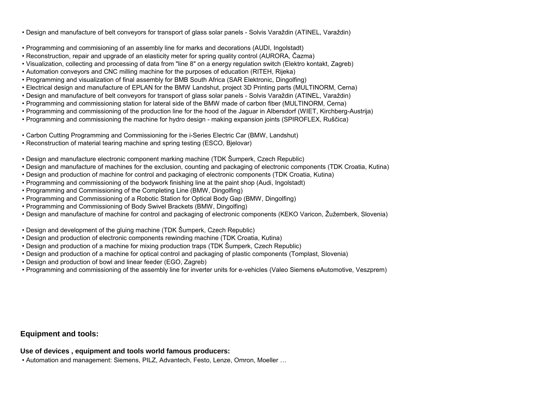• Design and manufacture of belt conveyors for transport of glass solar panels - Solvis Varaždin (ATINEL, Varaždin)

- Programming and commisioning of an assembly line for marks and decorations (AUDI, Ingolstadt)
- Reconstruction, repair and upgrade of an elasticity meter for spring quality control (AURORA, Čazma)
- Visualization, collecting and processing of data from "line 8" on a energy regulation switch (Elektro kontakt, Zagreb)
- Automation conveyors and CNC milling machine for the purposes of education (RITEH, Rijeka)
- Programming and visualization of final assembly for BMB South Africa (SAR Elektronic, Dingolfing)
- Electrical design and manufacture of EPLAN for the BMW Landshut, project 3D Printing parts (MULTINORM, Cerna)
- Design and manufacture of belt conveyors for transport of glass solar panels Solvis Varaždin (ATINEL, Varaždin)
- Programming and commissioning station for lateral side of the BMW made of carbon fiber (MULTINORM, Cerna)
- Programming and commissioning of the production line for the hood of the Jaguar in Albersdorf (WIET, Kirchberg-Austrija)
- Programming and commissioning the machine for hydro design making expansion joints (SPIROFLEX, Ruščica)
- Carbon Cutting Programming and Commissioning for the i-Series Electric Car (BMW, Landshut)
- Reconstruction of material tearing machine and spring testing (ESCO, Bjelovar)
- Design and manufacture electronic component marking machine (TDK Šumperk, Czech Republic)
- Design and manufacture of machines for the exclusion, counting and packaging of electronic components (TDK Croatia, Kutina)
- Design and production of machine for control and packaging of electronic components (TDK Croatia, Kutina)
- Programming and commissioning of the bodywork finishing line at the paint shop (Audi, Ingolstadt)
- Programming and Commissioning of the Completing Line (BMW, Dingolfing)
- Programming and Commissioning of a Robotic Station for Optical Body Gap (BMW, Dingolfing)
- Programming and Commissioning of Body Swivel Brackets (BMW, Dingolfing)
- Design and manufacture of machine for control and packaging of electronic components (KEKO Varicon, Žužemberk, Slovenia)
- Design and development of the gluing machine (TDK Šumperk, Czech Republic)
- Design and production of electronic components rewinding machine (TDK Croatia, Kutina)
- Design and production of a machine for mixing production traps (TDK Šumperk, Czech Republic)
- Design and production of a machine for optical control and packaging of plastic components (Tomplast, Slovenia)
- Design and production of bowl and linear feeder (EGO, Zagreb)
- Programming and commissioning of the assembly line for inverter units for e-vehicles (Valeo Siemens eAutomotive, Veszprem)

# **Equipment and tools:**

**Use of devices , equipment and tools world famous producers:** 

• Automation and management: Siemens, PILZ, Advantech, Festo, Lenze, Omron, Moeller …